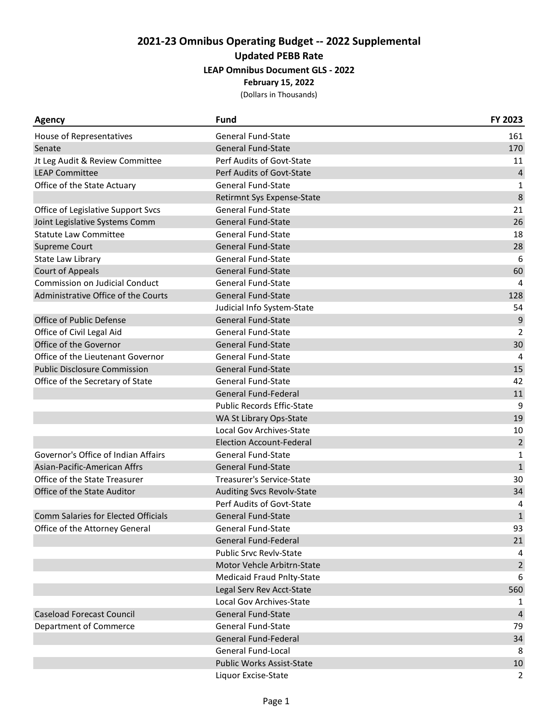| <b>Agency</b>                         | <b>Fund</b>                       | FY 2023        |
|---------------------------------------|-----------------------------------|----------------|
| House of Representatives              | <b>General Fund-State</b>         | 161            |
| Senate                                | <b>General Fund-State</b>         | 170            |
| Jt Leg Audit & Review Committee       | Perf Audits of Govt-State         | 11             |
| <b>LEAP Committee</b>                 | Perf Audits of Govt-State         | $\overline{4}$ |
| Office of the State Actuary           | <b>General Fund-State</b>         | 1              |
|                                       | Retirmnt Sys Expense-State        | 8              |
| Office of Legislative Support Svcs    | <b>General Fund-State</b>         | 21             |
| Joint Legislative Systems Comm        | General Fund-State                | 26             |
| <b>Statute Law Committee</b>          | <b>General Fund-State</b>         | 18             |
| <b>Supreme Court</b>                  | <b>General Fund-State</b>         | 28             |
| State Law Library                     | <b>General Fund-State</b>         | 6              |
| <b>Court of Appeals</b>               | <b>General Fund-State</b>         | 60             |
| <b>Commission on Judicial Conduct</b> | <b>General Fund-State</b>         | 4              |
| Administrative Office of the Courts   | <b>General Fund-State</b>         | 128            |
|                                       | Judicial Info System-State        | 54             |
| Office of Public Defense              | <b>General Fund-State</b>         | 9              |
| Office of Civil Legal Aid             | <b>General Fund-State</b>         | $\overline{2}$ |
| Office of the Governor                | <b>General Fund-State</b>         | 30             |
| Office of the Lieutenant Governor     | <b>General Fund-State</b>         | 4              |
| <b>Public Disclosure Commission</b>   | <b>General Fund-State</b>         | 15             |
| Office of the Secretary of State      | <b>General Fund-State</b>         | 42             |
|                                       | General Fund-Federal              | 11             |
|                                       | <b>Public Records Effic-State</b> | 9              |
|                                       | WA St Library Ops-State           | 19             |
|                                       | Local Gov Archives-State          | 10             |
|                                       | <b>Election Account-Federal</b>   | $\overline{2}$ |
| Governor's Office of Indian Affairs   | <b>General Fund-State</b>         | $\mathbf{1}$   |
| Asian-Pacific-American Affrs          | <b>General Fund-State</b>         | $\mathbf 1$    |
| Office of the State Treasurer         | Treasurer's Service-State         | 30             |
| Office of the State Auditor           | <b>Auditing Svcs Revolv-State</b> | 34             |
|                                       | Perf Audits of Govt-State         | 4              |
| Comm Salaries for Elected Officials   | <b>General Fund-State</b>         | $\mathbf{1}$   |
| Office of the Attorney General        | <b>General Fund-State</b>         | 93             |
|                                       | General Fund-Federal              | 21             |
|                                       | <b>Public Srvc Revlv-State</b>    | 4              |
|                                       | Motor Vehcle Arbitrn-State        | $\overline{2}$ |
|                                       | <b>Medicaid Fraud Pnlty-State</b> | 6              |
|                                       | Legal Serv Rev Acct-State         | 560            |
|                                       | Local Gov Archives-State          | 1              |
| <b>Caseload Forecast Council</b>      | <b>General Fund-State</b>         | 4              |
| Department of Commerce                | <b>General Fund-State</b>         | 79             |
|                                       | General Fund-Federal              | 34             |
|                                       | <b>General Fund-Local</b>         | 8              |
|                                       | <b>Public Works Assist-State</b>  | 10             |
|                                       | Liquor Excise-State               | 2              |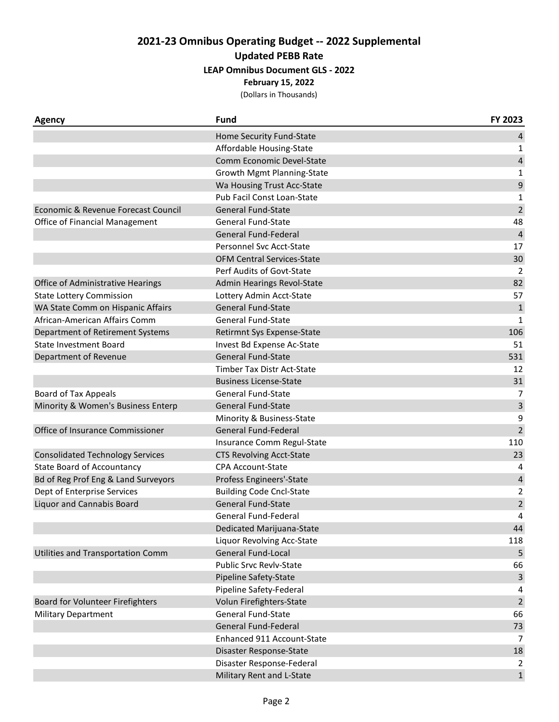**February 15, 2022**

| Agency                                  | <b>Fund</b>                       | FY 2023        |
|-----------------------------------------|-----------------------------------|----------------|
|                                         | Home Security Fund-State          | 4              |
|                                         | Affordable Housing-State          | 1              |
|                                         | Comm Economic Devel-State         | 4              |
|                                         | Growth Mgmt Planning-State        | 1              |
|                                         | Wa Housing Trust Acc-State        | 9              |
|                                         | Pub Facil Const Loan-State        | 1              |
| Economic & Revenue Forecast Council     | <b>General Fund-State</b>         | $\overline{2}$ |
| Office of Financial Management          | <b>General Fund-State</b>         | 48             |
|                                         | <b>General Fund-Federal</b>       | $\overline{4}$ |
|                                         | Personnel Svc Acct-State          | 17             |
|                                         | <b>OFM Central Services-State</b> | 30             |
|                                         | Perf Audits of Govt-State         | 2              |
| Office of Administrative Hearings       | Admin Hearings Revol-State        | 82             |
| <b>State Lottery Commission</b>         | Lottery Admin Acct-State          | 57             |
| WA State Comm on Hispanic Affairs       | <b>General Fund-State</b>         | $\mathbf 1$    |
| African-American Affairs Comm           | <b>General Fund-State</b>         | $\mathbf{1}$   |
| Department of Retirement Systems        | Retirmnt Sys Expense-State        | 106            |
| <b>State Investment Board</b>           | Invest Bd Expense Ac-State        | 51             |
| Department of Revenue                   | <b>General Fund-State</b>         | 531            |
|                                         | <b>Timber Tax Distr Act-State</b> | 12             |
|                                         | <b>Business License-State</b>     | 31             |
| <b>Board of Tax Appeals</b>             | <b>General Fund-State</b>         | $\overline{7}$ |
| Minority & Women's Business Enterp      | <b>General Fund-State</b>         | 3              |
|                                         | Minority & Business-State         | 9              |
| Office of Insurance Commissioner        | <b>General Fund-Federal</b>       | $\overline{2}$ |
|                                         | Insurance Comm Regul-State        | 110            |
| <b>Consolidated Technology Services</b> | <b>CTS Revolving Acct-State</b>   | 23             |
| <b>State Board of Accountancy</b>       | <b>CPA Account-State</b>          | 4              |
| Bd of Reg Prof Eng & Land Surveyors     | Profess Engineers'-State          | $\pmb{4}$      |
| Dept of Enterprise Services             | <b>Building Code Cncl-State</b>   | $\overline{c}$ |
| <b>Liquor and Cannabis Board</b>        | General Fund-State                | $\overline{c}$ |
|                                         | <b>General Fund-Federal</b>       | 4              |
|                                         | Dedicated Marijuana-State         | 44             |
|                                         | Liquor Revolving Acc-State        | 118            |
| Utilities and Transportation Comm       | General Fund-Local                | 5              |
|                                         | <b>Public Srvc Revlv-State</b>    | 66             |
|                                         | Pipeline Safety-State             | $\mathsf{3}$   |
|                                         | Pipeline Safety-Federal           | 4              |
| Board for Volunteer Firefighters        | Volun Firefighters-State          | $\mathbf 2$    |
| <b>Military Department</b>              | General Fund-State                | 66             |
|                                         | <b>General Fund-Federal</b>       | 73             |
|                                         | Enhanced 911 Account-State        | 7              |
|                                         | Disaster Response-State           | 18             |
|                                         | Disaster Response-Federal         | 2              |
|                                         | Military Rent and L-State         | $\mathbf{1}$   |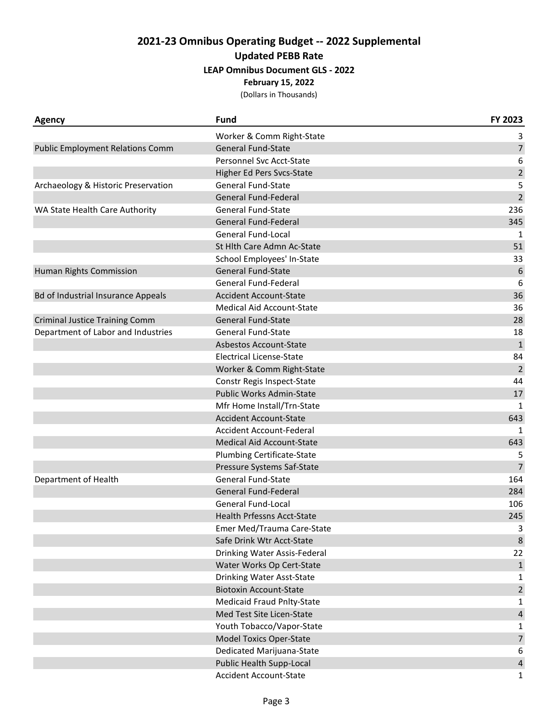| <b>Agency</b>                             | Fund                              | FY 2023        |
|-------------------------------------------|-----------------------------------|----------------|
|                                           | Worker & Comm Right-State         | 3              |
| <b>Public Employment Relations Comm</b>   | <b>General Fund-State</b>         | $\overline{7}$ |
|                                           | Personnel Svc Acct-State          | 6              |
|                                           | Higher Ed Pers Svcs-State         | $\overline{2}$ |
| Archaeology & Historic Preservation       | <b>General Fund-State</b>         | 5              |
|                                           | General Fund-Federal              | $\overline{2}$ |
| WA State Health Care Authority            | <b>General Fund-State</b>         | 236            |
|                                           | General Fund-Federal              | 345            |
|                                           | General Fund-Local                | 1              |
|                                           | St Hlth Care Admn Ac-State        | 51             |
|                                           | School Employees' In-State        | 33             |
| Human Rights Commission                   | <b>General Fund-State</b>         | 6              |
|                                           | General Fund-Federal              | 6              |
| <b>Bd of Industrial Insurance Appeals</b> | <b>Accident Account-State</b>     | 36             |
|                                           | <b>Medical Aid Account-State</b>  | 36             |
| <b>Criminal Justice Training Comm</b>     | <b>General Fund-State</b>         | 28             |
| Department of Labor and Industries        | <b>General Fund-State</b>         | 18             |
|                                           | Asbestos Account-State            | $\mathbf{1}$   |
|                                           | <b>Electrical License-State</b>   | 84             |
|                                           | Worker & Comm Right-State         | $\overline{2}$ |
|                                           | Constr Regis Inspect-State        | 44             |
|                                           | Public Works Admin-State          | 17             |
|                                           | Mfr Home Install/Trn-State        | 1              |
|                                           | <b>Accident Account-State</b>     | 643            |
|                                           | Accident Account-Federal          | $\mathbf{1}$   |
|                                           | <b>Medical Aid Account-State</b>  | 643            |
|                                           | <b>Plumbing Certificate-State</b> | 5              |
|                                           | Pressure Systems Saf-State        | $\overline{7}$ |
| Department of Health                      | <b>General Fund-State</b>         | 164            |
|                                           | General Fund-Federal              | 284            |
|                                           | General Fund-Local                | 106            |
|                                           | Health Prfessns Acct-State        | 245            |
|                                           | Emer Med/Trauma Care-State        | 3              |
|                                           | Safe Drink Wtr Acct-State         | $\,8\,$        |
|                                           | Drinking Water Assis-Federal      | 22             |
|                                           | Water Works Op Cert-State         | $\mathbf{1}$   |
|                                           | Drinking Water Asst-State         | 1              |
|                                           | <b>Biotoxin Account-State</b>     | $\overline{2}$ |
|                                           | <b>Medicaid Fraud Pnlty-State</b> | $\mathbf{1}$   |
|                                           | Med Test Site Licen-State         | 4              |
|                                           | Youth Tobacco/Vapor-State         | 1              |
|                                           | <b>Model Toxics Oper-State</b>    | $\overline{7}$ |
|                                           | Dedicated Marijuana-State         | 6              |
|                                           | Public Health Supp-Local          | $\overline{4}$ |
|                                           | <b>Accident Account-State</b>     | $\mathbf{1}$   |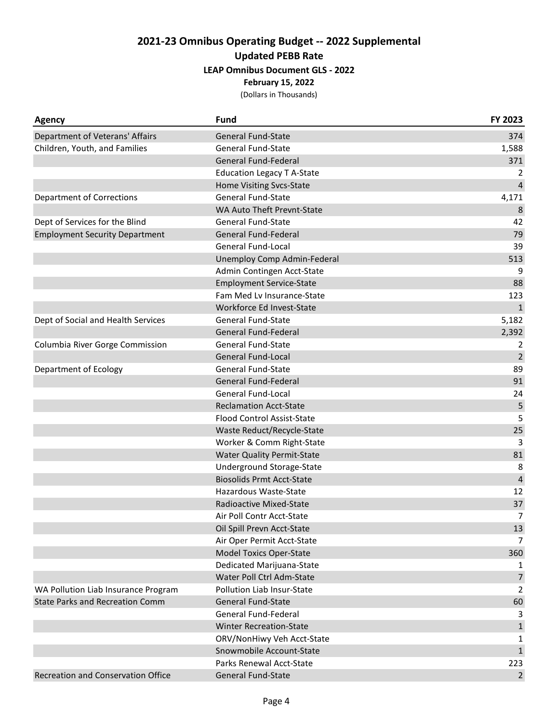| Agency                                 | <b>Fund</b>                       | FY 2023        |
|----------------------------------------|-----------------------------------|----------------|
| Department of Veterans' Affairs        | <b>General Fund-State</b>         | 374            |
| Children, Youth, and Families          | General Fund-State                | 1,588          |
|                                        | <b>General Fund-Federal</b>       | 371            |
|                                        | <b>Education Legacy T A-State</b> | 2              |
|                                        | Home Visiting Svcs-State          | $\overline{4}$ |
| <b>Department of Corrections</b>       | General Fund-State                | 4,171          |
|                                        | WA Auto Theft Prevnt-State        | 8              |
| Dept of Services for the Blind         | <b>General Fund-State</b>         | 42             |
| <b>Employment Security Department</b>  | General Fund-Federal              | 79             |
|                                        | General Fund-Local                | 39             |
|                                        | Unemploy Comp Admin-Federal       | 513            |
|                                        | Admin Contingen Acct-State        | 9              |
|                                        | <b>Employment Service-State</b>   | 88             |
|                                        | Fam Med Lv Insurance-State        | 123            |
|                                        | Workforce Ed Invest-State         | $\mathbf{1}$   |
| Dept of Social and Health Services     | <b>General Fund-State</b>         | 5,182          |
|                                        | General Fund-Federal              | 2,392          |
| Columbia River Gorge Commission        | <b>General Fund-State</b>         | 2              |
|                                        | <b>General Fund-Local</b>         | $\overline{2}$ |
| Department of Ecology                  | General Fund-State                | 89             |
|                                        | General Fund-Federal              | 91             |
|                                        | General Fund-Local                | 24             |
|                                        | <b>Reclamation Acct-State</b>     | 5              |
|                                        | <b>Flood Control Assist-State</b> | 5              |
|                                        | Waste Reduct/Recycle-State        | 25             |
|                                        | Worker & Comm Right-State         | 3              |
|                                        | <b>Water Quality Permit-State</b> | 81             |
|                                        | Underground Storage-State         | 8              |
|                                        | <b>Biosolids Prmt Acct-State</b>  | $\overline{4}$ |
|                                        | Hazardous Waste-State             | 12             |
|                                        | Radioactive Mixed-State           | 37             |
|                                        | Air Poll Contr Acct-State         | 7              |
|                                        | Oil Spill Prevn Acct-State        | 13             |
|                                        | Air Oper Permit Acct-State        | 7              |
|                                        | <b>Model Toxics Oper-State</b>    | 360            |
|                                        | Dedicated Marijuana-State         |                |
|                                        | Water Poll Ctrl Adm-State         | $\overline{7}$ |
| WA Pollution Liab Insurance Program    | Pollution Liab Insur-State        | $\overline{2}$ |
| <b>State Parks and Recreation Comm</b> | <b>General Fund-State</b>         | 60             |
|                                        | General Fund-Federal              | 3              |
|                                        | <b>Winter Recreation-State</b>    | $\mathbf{1}$   |
|                                        | ORV/NonHiwy Veh Acct-State        | 1              |
|                                        | Snowmobile Account-State          | $\mathbf{1}$   |
|                                        | Parks Renewal Acct-State          | 223            |
| Recreation and Conservation Office     | General Fund-State                | $\overline{2}$ |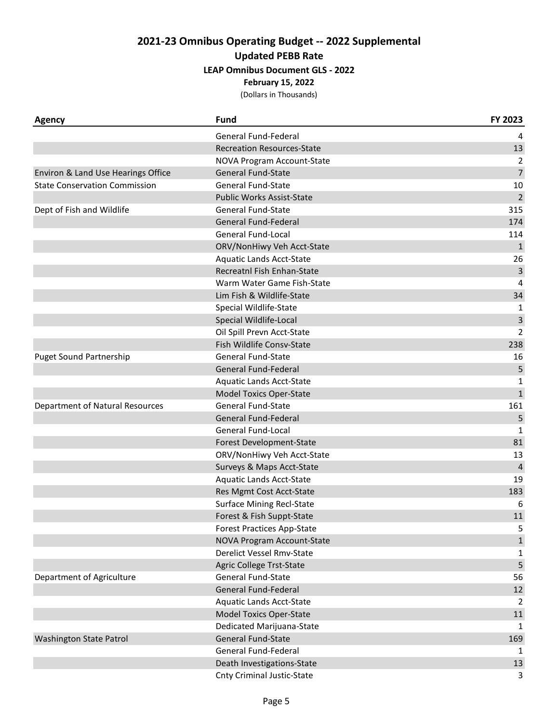**February 15, 2022**

| <b>Agency</b>                        | <b>Fund</b>                       | FY 2023        |
|--------------------------------------|-----------------------------------|----------------|
|                                      | General Fund-Federal              | 4              |
|                                      | <b>Recreation Resources-State</b> | 13             |
|                                      | NOVA Program Account-State        | 2              |
| Environ & Land Use Hearings Office   | <b>General Fund-State</b>         | $\overline{7}$ |
| <b>State Conservation Commission</b> | <b>General Fund-State</b>         | 10             |
|                                      | <b>Public Works Assist-State</b>  | $\overline{2}$ |
| Dept of Fish and Wildlife            | <b>General Fund-State</b>         | 315            |
|                                      | General Fund-Federal              | 174            |
|                                      | General Fund-Local                | 114            |
|                                      | ORV/NonHiwy Veh Acct-State        | $\mathbf{1}$   |
|                                      | <b>Aquatic Lands Acct-State</b>   | 26             |
|                                      | Recreatnl Fish Enhan-State        | 3              |
|                                      | Warm Water Game Fish-State        | 4              |
|                                      | Lim Fish & Wildlife-State         | 34             |
|                                      | Special Wildlife-State            | 1              |
|                                      | Special Wildlife-Local            | 3              |
|                                      | Oil Spill Prevn Acct-State        | $\overline{2}$ |
|                                      | Fish Wildlife Consv-State         | 238            |
| <b>Puget Sound Partnership</b>       | <b>General Fund-State</b>         | 16             |
|                                      | <b>General Fund-Federal</b>       | 5              |
|                                      | Aquatic Lands Acct-State          | 1              |
|                                      | <b>Model Toxics Oper-State</b>    | $1\,$          |
| Department of Natural Resources      | General Fund-State                | 161            |
|                                      | General Fund-Federal              | 5              |
|                                      | General Fund-Local                | 1              |
|                                      | Forest Development-State          | 81             |
|                                      | ORV/NonHiwy Veh Acct-State        | 13             |
|                                      | Surveys & Maps Acct-State         | 4              |
|                                      | Aquatic Lands Acct-State          | 19             |
|                                      | Res Mgmt Cost Acct-State          | 183            |
|                                      | <b>Surface Mining Recl-State</b>  | 6              |
|                                      | Forest & Fish Suppt-State         | 11             |
|                                      | <b>Forest Practices App-State</b> | 5              |
|                                      | NOVA Program Account-State        | $\mathbf 1$    |
|                                      | Derelict Vessel Rmv-State         | 1              |
|                                      | Agric College Trst-State          | 5              |
| Department of Agriculture            | General Fund-State                | 56             |
|                                      | General Fund-Federal              | 12             |
|                                      | <b>Aquatic Lands Acct-State</b>   | 2              |
|                                      | <b>Model Toxics Oper-State</b>    | 11             |
|                                      | Dedicated Marijuana-State         | 1              |
| Washington State Patrol              | General Fund-State                | 169            |
|                                      | General Fund-Federal              | 1              |
|                                      | Death Investigations-State        | 13             |
|                                      | <b>Cnty Criminal Justic-State</b> | 3              |